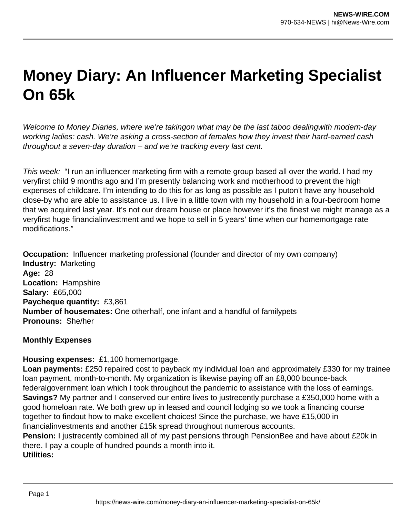# **Money Diary: An Influencer Marketing Specialist On 65k**

Welcome to Money Diaries, where we're takingon what may be the last taboo dealingwith modern-day working ladies: cash. We're asking a cross-section of females how they invest their hard-earned cash throughout a seven-day duration – and we're tracking every last cent.

This week: "I run an influencer marketing firm with a remote group based all over the world. I had my veryfirst child 9 months ago and I'm presently balancing work and motherhood to prevent the high expenses of childcare. I'm intending to do this for as long as possible as I puton't have any household close-by who are able to assistance us. I live in a little town with my household in a four-bedroom home that we acquired last year. It's not our dream house or place however it's the finest we might manage as a veryfirst huge financialinvestment and we hope to sell in 5 years' time when our homemortgage rate modifications."

**Occupation:** Influencer marketing professional (founder and director of my own company) **Industry:** Marketing **Age:** 28 **Location:** Hampshire **Salary:** £65,000 **Paycheque quantity:** £3,861 **Number of housemates:** One otherhalf, one infant and a handful of familypets **Pronouns:** She/her

#### **Monthly Expenses**

**Housing expenses:** £1,100 homemortgage.

**Loan payments:** £250 repaired cost to payback my individual loan and approximately £330 for my trainee loan payment, month-to-month. My organization is likewise paying off an £8,000 bounce-back federalgovernment loan which I took throughout the pandemic to assistance with the loss of earnings. **Savings?** My partner and I conserved our entire lives to justrecently purchase a £350,000 home with a good homeloan rate. We both grew up in leased and council lodging so we took a financing course together to findout how to make excellent choices! Since the purchase, we have £15,000 in financialinvestments and another £15k spread throughout numerous accounts.

**Pension:** I justrecently combined all of my past pensions through PensionBee and have about £20k in there. I pay a couple of hundred pounds a month into it. **Utilities:**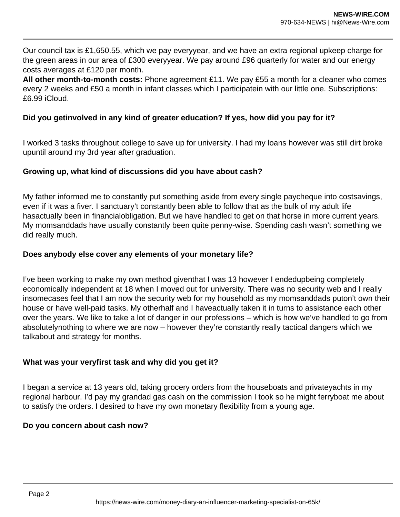Our council tax is £1,650.55, which we pay everyyear, and we have an extra regional upkeep charge for the green areas in our area of £300 everyyear. We pay around £96 quarterly for water and our energy costs averages at £120 per month.

**All other month-to-month costs:** Phone agreement £11. We pay £55 a month for a cleaner who comes every 2 weeks and £50 a month in infant classes which I participatein with our little one. Subscriptions: £6.99 iCloud.

## **Did you getinvolved in any kind of greater education? If yes, how did you pay for it?**

I worked 3 tasks throughout college to save up for university. I had my loans however was still dirt broke upuntil around my 3rd year after graduation.

## **Growing up, what kind of discussions did you have about cash?**

My father informed me to constantly put something aside from every single paycheque into costsavings, even if it was a fiver. I sanctuary't constantly been able to follow that as the bulk of my adult life hasactually been in financialobligation. But we have handled to get on that horse in more current years. My momsanddads have usually constantly been quite penny-wise. Spending cash wasn't something we did really much.

### **Does anybody else cover any elements of your monetary life?**

I've been working to make my own method giventhat I was 13 however I endedupbeing completely economically independent at 18 when I moved out for university. There was no security web and I really insomecases feel that I am now the security web for my household as my momsanddads puton't own their house or have well-paid tasks. My otherhalf and I haveactually taken it in turns to assistance each other over the years. We like to take a lot of danger in our professions – which is how we've handled to go from absolutelynothing to where we are now – however they're constantly really tactical dangers which we talkabout and strategy for months.

## **What was your veryfirst task and why did you get it?**

I began a service at 13 years old, taking grocery orders from the houseboats and privateyachts in my regional harbour. I'd pay my grandad gas cash on the commission I took so he might ferryboat me about to satisfy the orders. I desired to have my own monetary flexibility from a young age.

#### **Do you concern about cash now?**